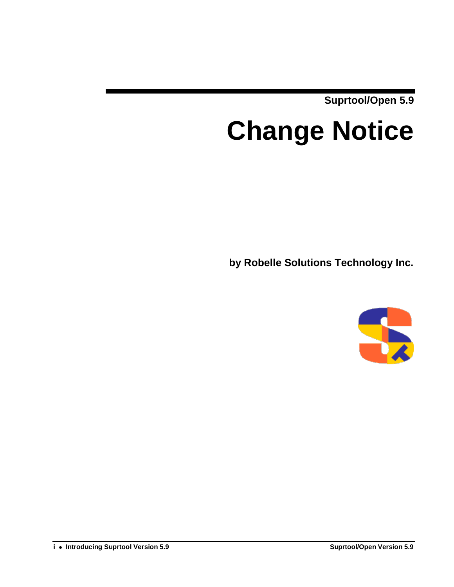**Suprtool/Open 5.9**

# **Change Notice**

**by Robelle Solutions Technology Inc.**



**i Introducing Suprtool Version 5.9 Suprtool/Open Version 5.9**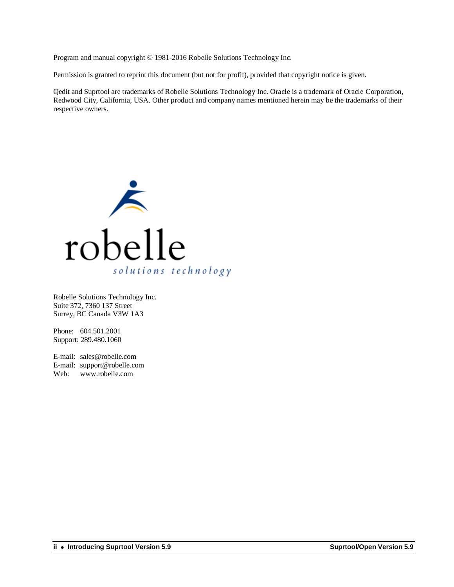Program and manual copyright © 1981-2016 Robelle Solutions Technology Inc.

Permission is granted to reprint this document (but not for profit), provided that copyright notice is given.

Qedit and Suprtool are trademarks of Robelle Solutions Technology Inc. Oracle is a trademark of Oracle Corporation, Redwood City, California, USA. Other product and company names mentioned herein may be the trademarks of their respective owners.



Robelle Solutions Technology Inc. Suite 372, 7360 137 Street Surrey, BC Canada V3W 1A3

Phone: 604.501.2001 Support: 289.480.1060

E-mail: sales@robelle.com E-mail: support@robelle.com Web: www.robelle.com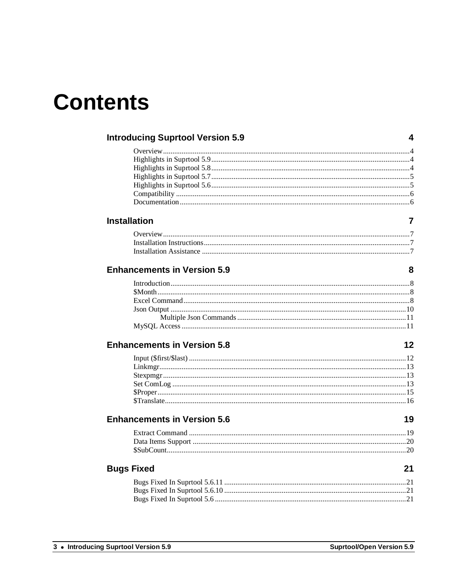## **Contents**

|                     | <b>Introducing Suprtool Version 5.9</b> | 4  |
|---------------------|-----------------------------------------|----|
|                     |                                         |    |
|                     |                                         |    |
|                     |                                         |    |
|                     |                                         |    |
|                     |                                         |    |
|                     |                                         |    |
|                     |                                         |    |
| <b>Installation</b> |                                         | 7  |
|                     |                                         |    |
|                     |                                         |    |
|                     |                                         |    |
|                     |                                         |    |
|                     | <b>Enhancements in Version 5.9</b>      | 8  |
|                     |                                         |    |
|                     |                                         |    |
|                     |                                         |    |
|                     |                                         |    |
|                     |                                         |    |
|                     |                                         |    |
|                     | <b>Enhancements in Version 5.8</b>      | 12 |
|                     |                                         |    |
|                     |                                         |    |
|                     |                                         |    |
|                     |                                         |    |
|                     |                                         |    |
|                     |                                         |    |
|                     | <b>Enhancements in Version 5.6</b>      | 19 |
|                     |                                         |    |
|                     |                                         |    |
|                     |                                         |    |
| <b>Bugs Fixed</b>   |                                         | 21 |
|                     |                                         |    |
|                     |                                         |    |
|                     |                                         |    |
|                     |                                         |    |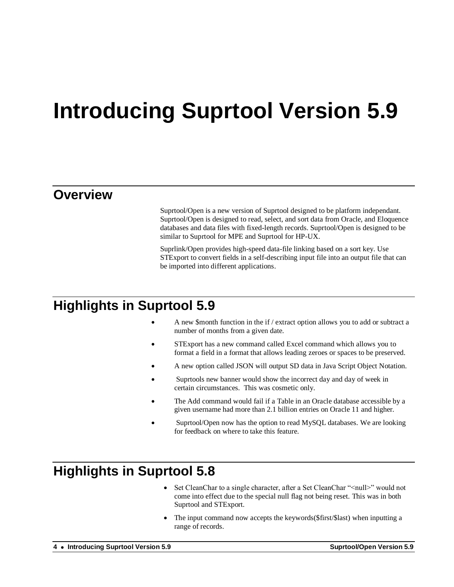## **Introducing Suprtool Version 5.9**

### **Overview**

Suprtool/Open is a new version of Suprtool designed to be platform independant. Suprtool/Open is designed to read, select, and sort data from Oracle, and Eloquence databases and data files with fixed-length records. Suprtool/Open is designed to be similar to Suprtool for MPE and Suprtool for HP-UX.

Suprlink/Open provides high-speed data-file linking based on a sort key. Use STExport to convert fields in a self-describing input file into an output file that can be imported into different applications.

## **Highlights in Suprtool 5.9**

- A new \$month function in the if / extract option allows you to add or subtract a number of months from a given date.
- STExport has a new command called Excel command which allows you to format a field in a format that allows leading zeroes or spaces to be preserved.
- A new option called JSON will output SD data in Java Script Object Notation.
- Suprtools new banner would show the incorrect day and day of week in certain circumstances. This was cosmetic only.
- The Add command would fail if a Table in an Oracle database accessible by a given username had more than 2.1 billion entries on Oracle 11 and higher.
- Suprtool/Open now has the option to read MySQL databases. We are looking for feedback on where to take this feature.

## **Highlights in Suprtool 5.8**

- Set CleanChar to a single character, after a Set CleanChar "<null>" would not come into effect due to the special null flag not being reset. This was in both Suprtool and STExport.
- The input command now accepts the keywords(\$first/\$last) when inputting a range of records.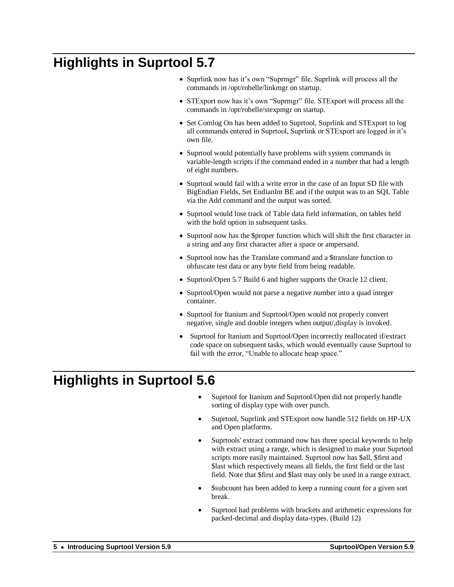## **Highlights in Suprtool 5.7**

- Suprlink now has it's own "Suprmgr" file. Suprlink will process all the commands in /opt/robelle/linkmgr on startup.
- STExport now has it's own "Suprmgr" file. STExport will process all the commands in /opt/robelle/stexpmgr on startup.
- Set Comlog On has been added to Suprtool, Suprlink and STExport to log all commands entered in Suprtool, Suprlink or STExport are logged in it's own file.
- Suprtool would potentially have problems with system commands in variable-length scripts if the command ended in a number that had a length of eight numbers.
- Suprtool would fail with a write error in the case of an Input SD file with BigEndian Fields, Set EndianInt BE and if the output was to an SQL Table via the Add command and the output was sorted.
- Suprtool would lose track of Table data field information, on tables held with the hold option in subsequent tasks.
- Suprtool now has the \$proper function which will shift the first character in a string and any first character after a space or ampersand.
- Suprtool now has the Translate command and a \$translate function to obfuscate test data or any byte field from being readable.
- Suprtool/Open 5.7 Build 6 and higher supports the Oracle 12 client.
- Suprtool/Open would not parse a negative number into a quad integer container.
- Suprtool for Itanium and Suprtool/Open would not properly convert negative, single and double integers when output/,display is invoked.
- Suprtool for Itanium and Suprtool/Open incorrectly reallocated if/extract code space on subsequent tasks, which would eventually cause Suprtool to fail with the error, "Unable to allocate heap space."

## **Highlights in Suprtool 5.6**

- Suprtool for Itanium and Suprtool/Open did not properly handle sorting of display type with over punch.
- Suprtool, Suprlink and STExport now handle 512 fields on HP-UX and Open platforms.
- Suprtools' extract command now has three special keywords to help with extract using a range, which is designed to make your Suprtool scripts more easily maintained. Suprtool now has \$all, \$first and \$last which respectively means all fields, the first field or the last field. Note that \$first and \$last may only be used in a range extract.
- \$subcount has been added to keep a running count for a given sort break.
- Suprtool had problems with brackets and arithmetic expressions for packed-decimal and display data-types. (Build 12)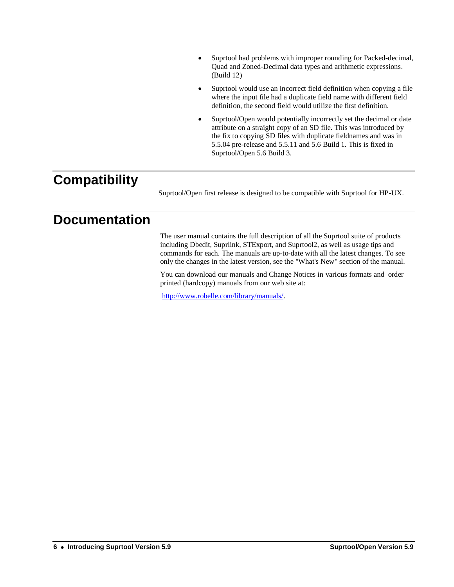- Suprtool had problems with improper rounding for Packed-decimal, Quad and Zoned-Decimal data types and arithmetic expressions. (Build 12)
- Suprtool would use an incorrect field definition when copying a file where the input file had a duplicate field name with different field definition, the second field would utilize the first definition.
- Suprtool/Open would potentially incorrectly set the decimal or date attribute on a straight copy of an SD file. This was introduced by the fix to copying SD files with duplicate fieldnames and was in 5.5.04 pre-release and 5.5.11 and 5.6 Build 1. This is fixed in Suprtool/Open 5.6 Build 3.

## **Compatibility**

Suprtool/Open first release is designed to be compatible with Suprtool for HP-UX.

## **Documentation**

The user manual contains the full description of all the Suprtool suite of products including Dbedit, Suprlink, STExport, and Suprtool2, as well as usage tips and commands for each. The manuals are up-to-date with all the latest changes. To see only the changes in the latest version, see the "What's New" section of the manual.

You can download our manuals and Change Notices in various formats and order printed (hardcopy) manuals from our web site at:

[http://www.robelle.com/library/manuals/.](http://www.robelle.com/library/manuals/)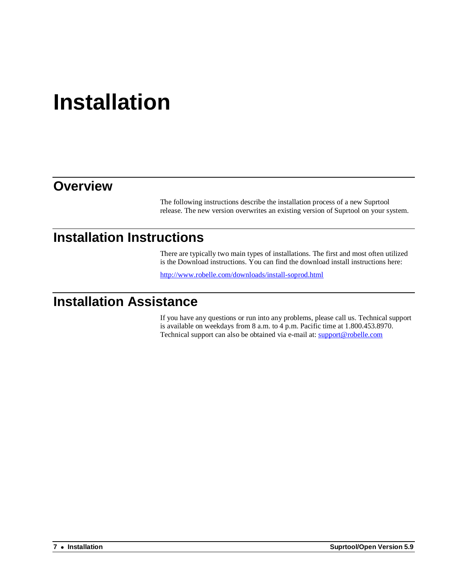## **Installation**

## **Overview**

The following instructions describe the installation process of a new Suprtool release. The new version overwrites an existing version of Suprtool on your system.

## **Installation Instructions**

There are typically two main types of installations. The first and most often utilized is the Download instructions. You can find the download install instructions here:

<http://www.robelle.com/downloads/install-soprod.html>

## **Installation Assistance**

If you have any questions or run into any problems, please call us. Technical support is available on weekdays from 8 a.m. to 4 p.m. Pacific time at 1.800.453.8970. Technical support can also be obtained via e-mail at: support@robelle.com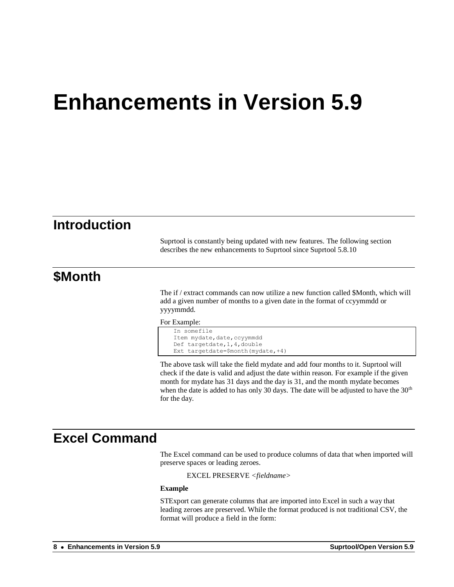## **Introduction**

Suprtool is constantly being updated with new features. The following section describes the new enhancements to Suprtool since Suprtool 5.8.10

### **\$Month**

The if / extract commands can now utilize a new function called \$Month, which will add a given number of months to a given date in the format of ccyymmdd or yyyymmdd.

For Example:

```
In somefile
Item mydate, date, ccyymmdd
Def targetdate,1,4,double
Ext targetdate=$month(mydate,+4)
```
The above task will take the field mydate and add four months to it. Suprtool will check if the date is valid and adjust the date within reason. For example if the given month for mydate has 31 days and the day is 31, and the month mydate becomes when the date is added to has only 30 days. The date will be adjusted to have the  $30<sup>th</sup>$ for the day.

## **Excel Command**

The Excel command can be used to produce columns of data that when imported will preserve spaces or leading zeroes.

EXCEL PRESERVE *<fieldname>*

#### **Example**

STExport can generate columns that are imported into Excel in such a way that leading zeroes are preserved. While the format produced is not traditional CSV, the format will produce a field in the form: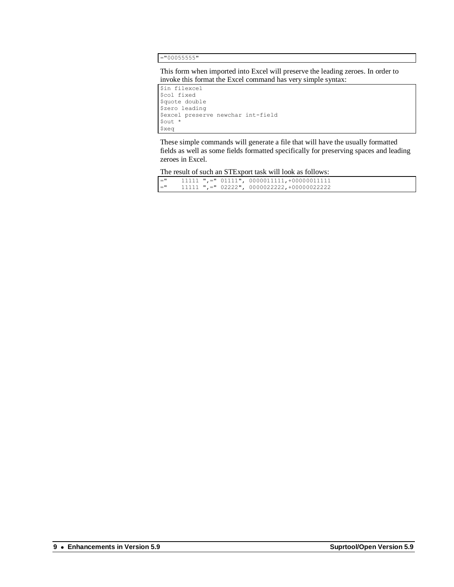="00055555"

This form when imported into Excel will preserve the leading zeroes. In order to invoke this format the Excel command has very simple syntax:

\$in filexcel \$col fixed \$quote double \$zero leading \$excel preserve newchar int-field \$out \* \$xeq

These simple commands will generate a file that will have the usually formatted fields as well as some fields formatted specifically for preserving spaces and leading zeroes in Excel.

The result of such an STExport task will look as follows:

| $=$ " |  | $11111$ ",=" $01111$ ", $0000011111$ , +000000111111 |
|-------|--|------------------------------------------------------|
| $=$ " |  | $11111$ ",=" 02222", 0000022222,+00000022222         |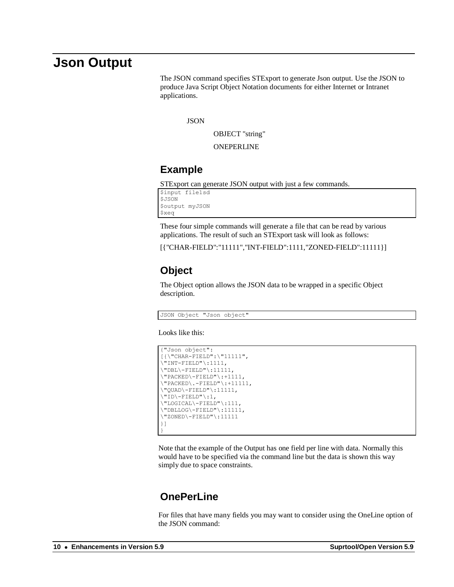### **Json Output**

The JSON command specifies STExport to generate Json output. Use the JSON to produce Java Script Object Notation documents for either Internet or Intranet applications.

**JSON** 

OBJECT "string"

ONEPERLINE

#### **Example**

STExport can generate JSON output with just a few commands.

\$input file1sd \$JSON \$output myJSON \$xeq

These four simple commands will generate a file that can be read by various applications. The result of such an STExport task will look as follows:

[{"CHAR-FIELD":"11111","INT-FIELD":1111,"ZONED-FIELD":11111}]

#### **Object**

The Object option allows the JSON data to be wrapped in a specific Object description.

JSON Object "Json object"

Looks like this:

```
{"Json object":
[{\"CHAR-FIELD":\"11111",
\Upsilon"INT-FIELD"\Upsilon:1111,
\Upsilon"DBL\Upsilon-FIELD"\Upsilon:11111,
\Upsilon"PACKED\Upsilon-FIELD"\Upsilon:+1111,
\"PACKED\.-FIELD"\:+11111,
\"QUAD\-FIELD"\:11111,
\"ID\-FIELD"\:1,
\"LOGICAL\-FIELD"\:111,
\"DBLLOG\-FIELD"\:11111,
\"ZONED\-FIELD"\:11111
}]
}
```
Note that the example of the Output has one field per line with data. Normally this would have to be specified via the command line but the data is shown this way simply due to space constraints.

#### **OnePerLine**

For files that have many fields you may want to consider using the OneLine option of the JSON command: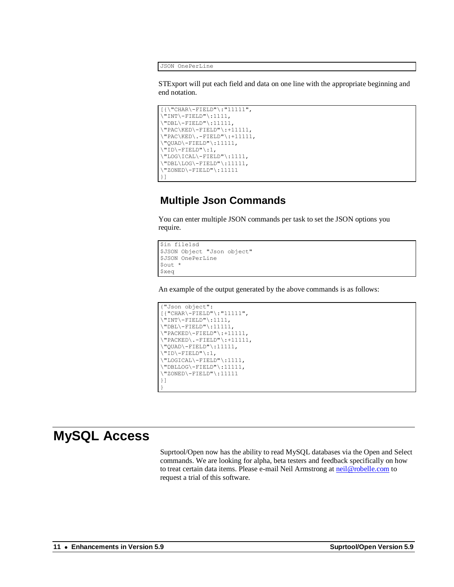JSON OnePerLine

STExport will put each field and data on one line with the appropriate beginning and end notation.

```
[\{\{\texttt{CHAR}\}-\texttt{FIELD"}\}: "11111",\"INT\-FIELD"\:1111,
\Upsilon"DBL\Upsilon-FIELD"\Upsilon:11111,
\vee"PAC\kappaED\vee-FIELD"\iota:+11111,
\Upsilon"PAC\KED\.-FIELD"\:+11111,
\Upsilon"QUAD\Upsilon-FIELD"\Upsilon:11111,
\"ID\-FIELD"\:1,
\"LOG\ICAL\-FIELD"\:1111,
\Upsilon"DBL\LOG\-FIELD"\:11111,
\"ZONED\-FIELD"\:11111
}]
```
#### **Multiple Json Commands**

You can enter multiple JSON commands per task to set the JSON options you require.

```
$in file1sd
$JSON Object "Json object"
$JSON OnePerLine
$out *
$xeq
```
An example of the output generated by the above commands is as follows:

```
{"Json object":
[{"CHAR\-FIELD"\:"11111",
\"INT\-FIELD"\:1111,
\Upsilon"DBL\Upsilon-FIELD"\Upsilon:11111,
\vee"PACKED\vee-FIELD"\vee:+11111,
\Upsilon"PACKED\Upsilon.-FIELD"\Upsilon:+11111,
\Upsilon"QUAD\Upsilon-FIELD"\Upsilon:11111,
\"ID\-FIELD"\:1,
\"LOGICAL\-FIELD"\:1111,
\"DBLLOG\-FIELD"\:11111,
\"ZONED\-FIELD"\:11111
}]
}
```
## **MySQL Access**

Suprtool/Open now has the ability to read MySQL databases via the Open and Select commands. We are looking for alpha, beta testers and feedback specifically on how to treat certain data items. Please e-mail Neil Armstrong at [neil@robelle.com](mailto:neil@robelle.com) to request a trial of this software.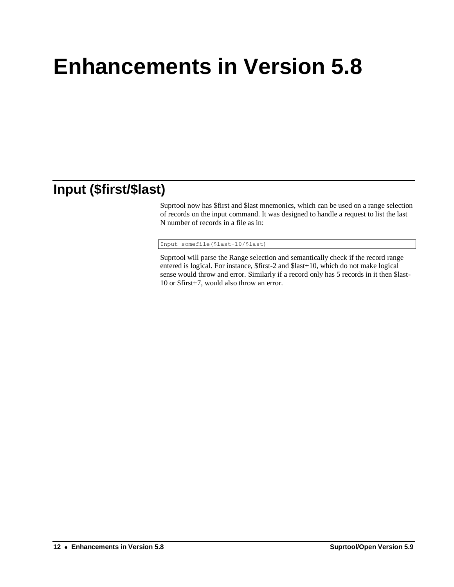## **Input (\$first/\$last)**

Suprtool now has \$first and \$last mnemonics, which can be used on a range selection of records on the input command. It was designed to handle a request to list the last N number of records in a file as in:

Input somefile(\$last-10/\$last)

Suprtool will parse the Range selection and semantically check if the record range entered is logical. For instance, \$first-2 and \$last+10, which do not make logical sense would throw and error. Similarly if a record only has 5 records in it then \$last-10 or \$first+7, would also throw an error.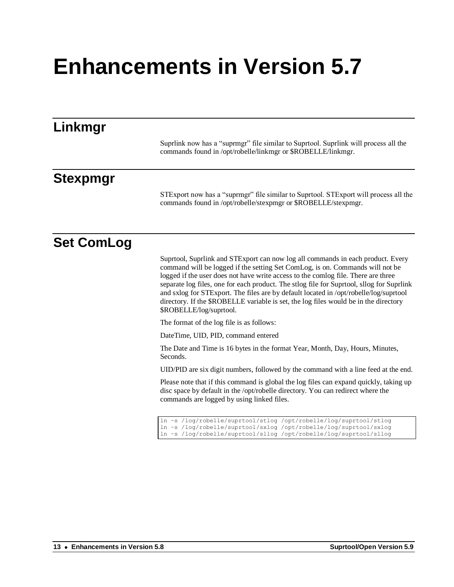| Linkmgr           |                                                                                                                                                                                                                                                                                                                                                                                                                                                                                                                                                                |
|-------------------|----------------------------------------------------------------------------------------------------------------------------------------------------------------------------------------------------------------------------------------------------------------------------------------------------------------------------------------------------------------------------------------------------------------------------------------------------------------------------------------------------------------------------------------------------------------|
|                   | Suprlink now has a "suprmgr" file similar to Suprtool. Suprlink will process all the<br>commands found in /opt/robelle/linkmgr or \$ROBELLE/linkmgr.                                                                                                                                                                                                                                                                                                                                                                                                           |
| <b>Stexpmgr</b>   |                                                                                                                                                                                                                                                                                                                                                                                                                                                                                                                                                                |
|                   | STExport now has a "suprmgr" file similar to Suprtool. STExport will process all the<br>commands found in /opt/robelle/stexpmgr or \$ROBELLE/stexpmgr.                                                                                                                                                                                                                                                                                                                                                                                                         |
| <b>Set ComLog</b> |                                                                                                                                                                                                                                                                                                                                                                                                                                                                                                                                                                |
|                   | Suprtool, Suprlink and STExport can now log all commands in each product. Every<br>command will be logged if the setting Set ComLog, is on. Commands will not be<br>logged if the user does not have write access to the comlog file. There are three<br>separate log files, one for each product. The stlog file for Suprtool, sllog for Suprlink<br>and sxlog for STExport. The files are by default located in /opt/robelle/log/suprtool<br>directory. If the \$ROBELLE variable is set, the log files would be in the directory<br>\$ROBELLE/log/suprtool. |
|                   | The format of the log file is as follows:                                                                                                                                                                                                                                                                                                                                                                                                                                                                                                                      |
|                   | DateTime, UID, PID, command entered                                                                                                                                                                                                                                                                                                                                                                                                                                                                                                                            |
|                   | The Date and Time is 16 bytes in the format Year, Month, Day, Hours, Minutes,<br>Seconds.                                                                                                                                                                                                                                                                                                                                                                                                                                                                      |
|                   | UID/PID are six digit numbers, followed by the command with a line feed at the end.                                                                                                                                                                                                                                                                                                                                                                                                                                                                            |
|                   | Please note that if this command is global the log files can expand quickly, taking up<br>disc space by default in the /opt/robelle directory. You can redirect where the<br>commands are logged by using linked files.                                                                                                                                                                                                                                                                                                                                        |
|                   | ln -s /log/robelle/suprtool/stlog /opt/robelle/log/suprtool/stlog<br>ln -s /log/robelle/suprtool/sxlog /opt/robelle/log/suprtool/sxlog<br>ln -s /log/robelle/suprtool/sllog /opt/robelle/log/suprtool/sllog                                                                                                                                                                                                                                                                                                                                                    |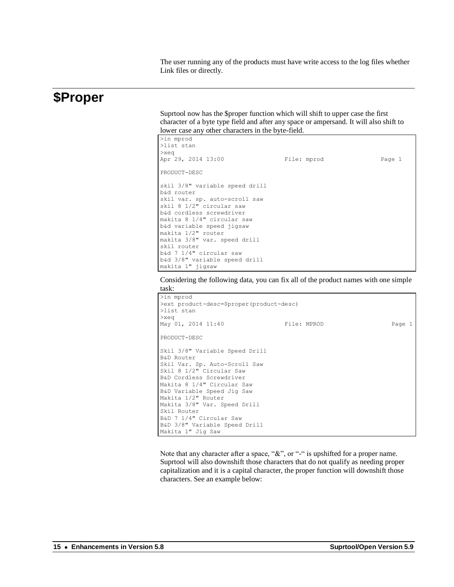The user running any of the products must have write access to the log files whether Link files or directly.

#### **\$Proper**

Suprtool now has the \$proper function which will shift to upper case the first character of a byte type field and after any space or ampersand. It will also shift to lower case any other characters in the byte-field.

| File: mprod | Page 1 |
|-------------|--------|
|             |        |
|             |        |
|             |        |
|             |        |
|             |        |
|             |        |
|             |        |
|             |        |
|             |        |
|             |        |
|             |        |
|             |        |
|             |        |
|             |        |
|             |        |

Considering the following data, you can fix all of the product names with one simple task:

```
>in mprod
>ext product-desc=$proper(product-desc)
>list stan
>xeq
May 01, 2014 11:40 File: MPROD Page 1
PRODUCT-DESC
Skil 3/8" Variable Speed Drill
B&D Router
Skil Var. Sp. Auto-Scroll Saw
Skil 8 1/2" Circular Saw
B&D Cordless Screwdriver
Makita 8 1/4" Circular Saw
B&D Variable Speed Jig Saw
Makita 1/2" Router
Makita 3/8" Var. Speed Drill
Skil Router
B&D 7 1/4" Circular Saw
B&D 3/8" Variable Speed Drill
Makita 1" Jig Saw
```
Note that any character after a space, "&", or "-" is upshifted for a proper name. Suprtool will also downshift those characters that do not qualify as needing proper capitalization and it is a capital character, the proper function will downshift those characters. See an example below: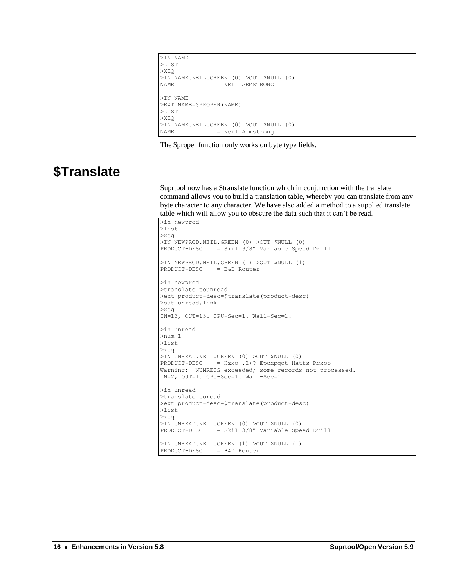```
>IN NAME
>LIST
>XEQ
>IN NAME.NEIL.GREEN (0) >OUT $NULL (0)<br>NAME = NEIL ARMSTRONG
                 = NEIL ARMSTRONG
>IN NAME
>EXT NAME=$PROPER(NAME)
>LIST
>XEQ
>IN NAME.NEIL.GREEN (0) >OUT $NULL (0)<br>NAME = Neil Armstrong
                  = Neil Armstrong
```
The \$proper function only works on byte type fields.

## **\$Translate**

Suprtool now has a \$translate function which in conjunction with the translate command allows you to build a translation table, whereby you can translate from any byte character to any character. We have also added a method to a supplied translate table which will allow you to obscure the data such that it can't be read.

```
>in newprod
>list
>xeq
>IN NEWPROD.NEIL.GREEN (0) >OUT $NULL (0)
PRODUCT-DESC = Skil 3/8" Variable Speed Drill
>IN NEWPROD.NEIL.GREEN (1) >OUT $NULL (1)
PRODUCT-DESC = B&D Router
>in newprod
>translate tounread
>ext product-desc=$translate(product-desc)
>out unread,link
>xeq
IN=13, OUT=13. CPU-Sec=1. Wall-Sec=1.
>in unread
>num 1
>list
>xeq
>IN UNREAD.NEIL.GREEN (0) >OUT $NULL (0)
PRODUCT-DESC = Hzxo .2)? Epcxpqot Hatts Rcxoo
Warning: NUMRECS exceeded; some records not processed.
IN=2, OUT=1. CPU-Sec=1. Wall-Sec=1.
>in unread
>translate toread
>ext product-desc=$translate(product-desc)
>list
>xeq
>IN UNREAD.NEIL.GREEN (0) >OUT $NULL (0)
PRODUCT-DESC = Skil 3/8" Variable Speed Drill
>IN UNREAD.NEIL.GREEN (1) >OUT $NULL (1)
PRODUCT-DESC = B&D Router
```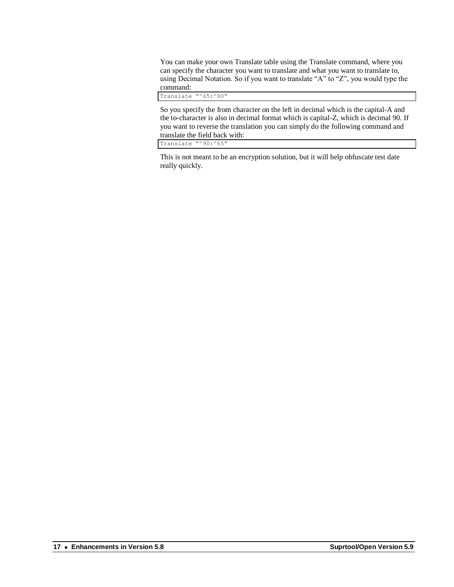You can make your own Translate table using the Translate command, where you can specify the character you want to translate and what you want to translate to, using Decimal Notation. So if you want to translate "A" to "Z", you would type the command:

Translate "^65:^90"

So you specify the from character on the left in decimal which is the capital-A and the to-character is also in decimal format which is capital-Z, which is decimal 90. If you want to reverse the translation you can simply do the following command and translate the field back with:

Translate "^90:^65"

This is not meant to be an encryption solution, but it will help obfuscate test date really quickly.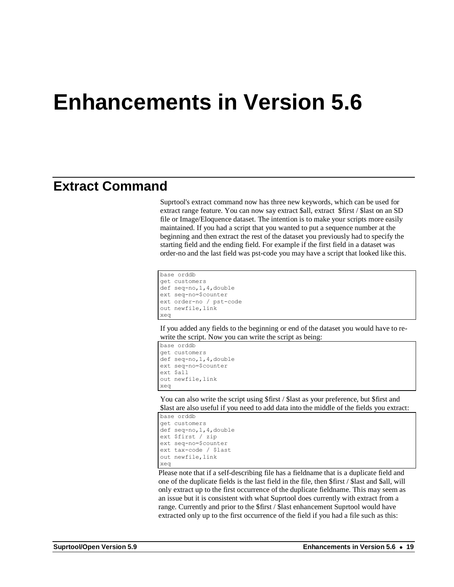### **Extract Command**

Suprtool's extract command now has three new keywords, which can be used for extract range feature. You can now say extract \$all, extract \$first / \$last on an SD file or Image/Eloquence dataset. The intention is to make your scripts more easily maintained. If you had a script that you wanted to put a sequence number at the beginning and then extract the rest of the dataset you previously had to specify the starting field and the ending field. For example if the first field in a dataset was order-no and the last field was pst-code you may have a script that looked like this.

```
base orddb
get customers
def seq-no,1,4,double
ext seq-no=$counter
ext order-no / pst-code
out newfile,link
xeq
```
If you added any fields to the beginning or end of the dataset you would have to rewrite the script. Now you can write the script as being:

```
base orddb
get customers
def seq-no,1,4,double
ext seq-no=$counter
ext $all
out newfile, link
xeq
```
You can also write the script using \$first / \$last as your preference, but \$first and \$last are also useful if you need to add data into the middle of the fields you extract:

```
base orddb
get customers
def seq-no,1,4,double
ext $first / zip
ext seq-no=$counter
ext tax-code / $last
out newfile,link
xeq
```
Please note that if a self-describing file has a fieldname that is a duplicate field and one of the duplicate fields is the last field in the file, then \$first / \$last and \$all, will only extract up to the first occurrence of the duplicate fieldname. This may seem as an issue but it is consistent with what Suprtool does currently with extract from a range. Currently and prior to the \$first / \$last enhancement Suprtool would have extracted only up to the first occurrence of the field if you had a file such as this: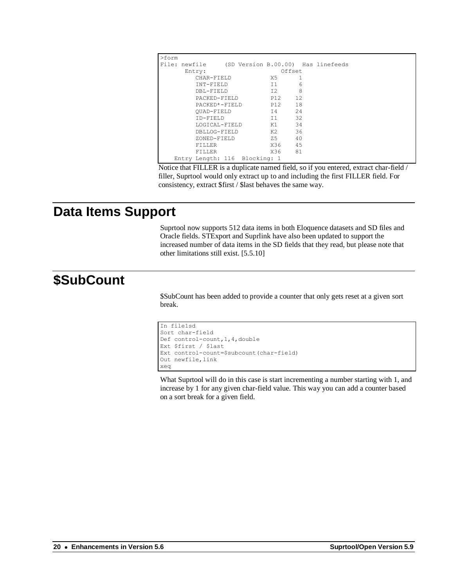| $>$ form |                                                  |  |        |      |  |
|----------|--------------------------------------------------|--|--------|------|--|
|          | File: newfile (SD Version B.00.00) Has linefeeds |  |        |      |  |
| Entry:   |                                                  |  | Offset |      |  |
|          | CHAR-FIELD                                       |  | X5 -   |      |  |
|          | TNT-FTELD                                        |  | T1     | 6    |  |
|          | DBL-FIELD                                        |  | T2     | 8    |  |
|          | PACKED-FIELD                                     |  | P12 12 |      |  |
|          | PACKED*-FIELD                                    |  | P12 18 |      |  |
|          | OUAD-FIELD                                       |  | T4 24  |      |  |
|          | TD-FTELD                                         |  | T1     | - 32 |  |
|          | LOGICAL-FIELD                                    |  | K1 - 1 | 34   |  |
|          | DBLLOG-FIELD                                     |  |        | 36   |  |
|          | ZONED-FIELD                                      |  | 7.5    | 40   |  |
|          | <b>FTLLER</b>                                    |  | X36 45 |      |  |
|          | FTTJ.FR                                          |  | X36 81 |      |  |
|          | Entry Length: 116 Blocking: 1                    |  |        |      |  |

Notice that FILLER is a duplicate named field, so if you entered, extract char-field / filler, Suprtool would only extract up to and including the first FILLER field. For consistency, extract \$first / \$last behaves the same way.

### **Data Items Support**

Suprtool now supports 512 data items in both Eloquence datasets and SD files and Oracle fields. STExport and Suprlink have also been updated to support the increased number of data items in the SD fields that they read, but please note that other limitations still exist. [5.5.10]

## **\$SubCount**

\$SubCount has been added to provide a counter that only gets reset at a given sort break.

```
In file1sd
Sort char-field
Def control-count,1,4,double
Ext $first / $last
Ext control-count=$subcount(char-field)
Out newfile, link
xeq
```
What Suprtool will do in this case is start incrementing a number starting with 1, and increase by 1 for any given char-field value. This way you can add a counter based on a sort break for a given field.